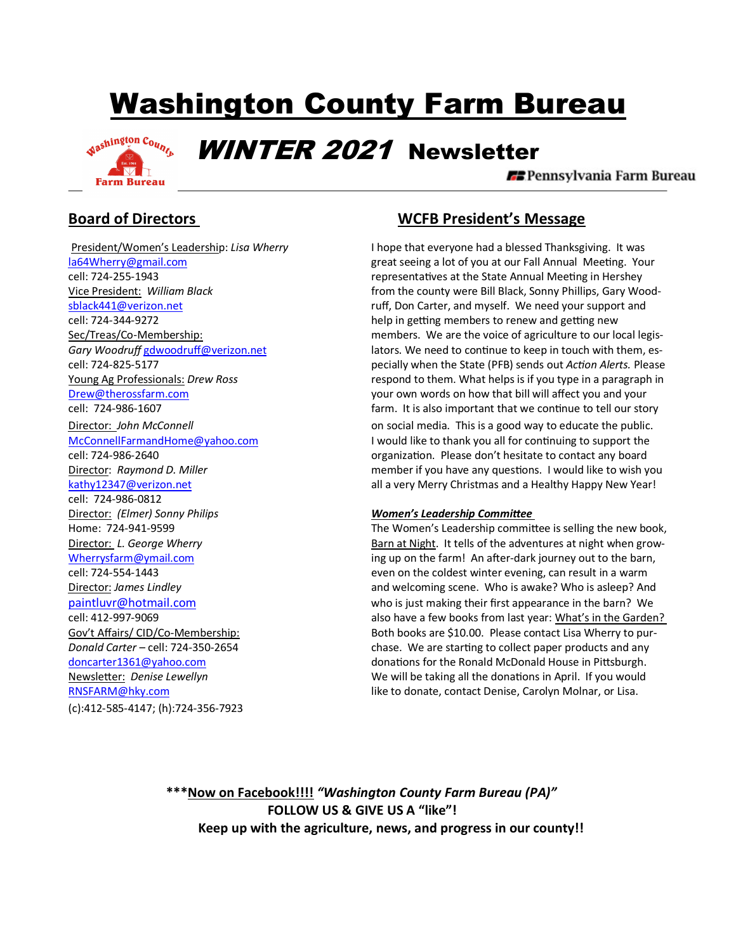# Washington County Farm Bureau



WINTER 2021 Newsletter

**E** Pennsylvania Farm Bureau

cell: 724-986-0812 Director: *(Elmer) Sonny Philips Women's Leadership Commiee*  (c):412-585-4147; (h):724-356-7923

## **Board of Directors WCFB President's Message**

 President/Women's Leadership: *Lisa Wherry* I hope that everyone had a blessed Thanksgiving. It was la64Wherry@gmail.com **great seeing a lot of you at our Fall Annual Meeting**. Your cell: 724-255-1943 **representatives at the State Annual Meeting in Hershey** representatives at the State Annual Meeting in Hershey Vice President: *William Black* from the county were Bill Black, Sonny Phillips, Gary Woodsblack441@verizon.net example ruff, Don Carter, and myself. We need your support and cell: 724-344-9272 help in getting members to renew and getting new Sec/Treas/Co-Membership: members. We are the voice of agriculture to our local legis-Gary Woodruff **gdwoodruff@verizon.net** lators. We need to continue to keep in touch with them, escell: 724-825-5177 pecially when the State (PFB) sends out *Acon Alerts.* Please Young Ag Professionals: *Drew Ross* respond to them. What helps is if you type in a paragraph in Drew@therossfarm.com **blue and your own words on how that bill will affect you and your** cell: 724-986-1607 farm. It is also important that we con'nue to tell our story Director: *John McConnell* on social media. This is a good way to educate the public. McConnellFarmandHome@yahoo.com I would like to thank you all for continuing to support the cell: 724-986-2640 organiza'on. Please don't hesitate to contact any board Director: *Raymond D. Miller* member if you have any questions. I would like to wish you kathy12347@verizon.net all a very Merry Christmas and a Healthy Happy New Year!

Home: 724-941-9599 The Women's Leadership committee is selling the new book, Director: *L. George Wherry* **Barn at Night. It tells of the adventures at night when grow-** Barn at Night. It tells of the adventures at night when grow-Wherrysfarm@ymail.com ing up on the farm! An after-dark journey out to the barn, cell: 724-554-1443 even on the coldest winter evening, can result in a warm Director: *James Lindley* and welcoming scene. Who is awake? Who is asleep? And paintluvr@hotmail.com who is just making their first appearance in the barn? We cell: 412-997-9069 also have a few books from last year: What's in the Garden? Gov't Affairs/ CID/Co-Membership: Both books are \$10.00. Please contact Lisa Wherry to pur-*Donald Carter* – cell: 724-350-2654 chase. We are star'ng to collect paper products and any doncarter1361@yahoo.com donations for the Ronald McDonald House in Pittsburgh. Newsletter: *Denise Lewellyn* entitled a state of the will be taking all the donations in April. If you would RNSFARM@hky.com **like to donate, contact Denise, Carolyn Molnar, or Lisa.** 

> **\*\*\*Now on Facebook!!!!** *"Washington County Farm Bureau (PA)"* **FOLLOW US & GIVE US A "like"! Keep up with the agriculture, news, and progress in our county!!**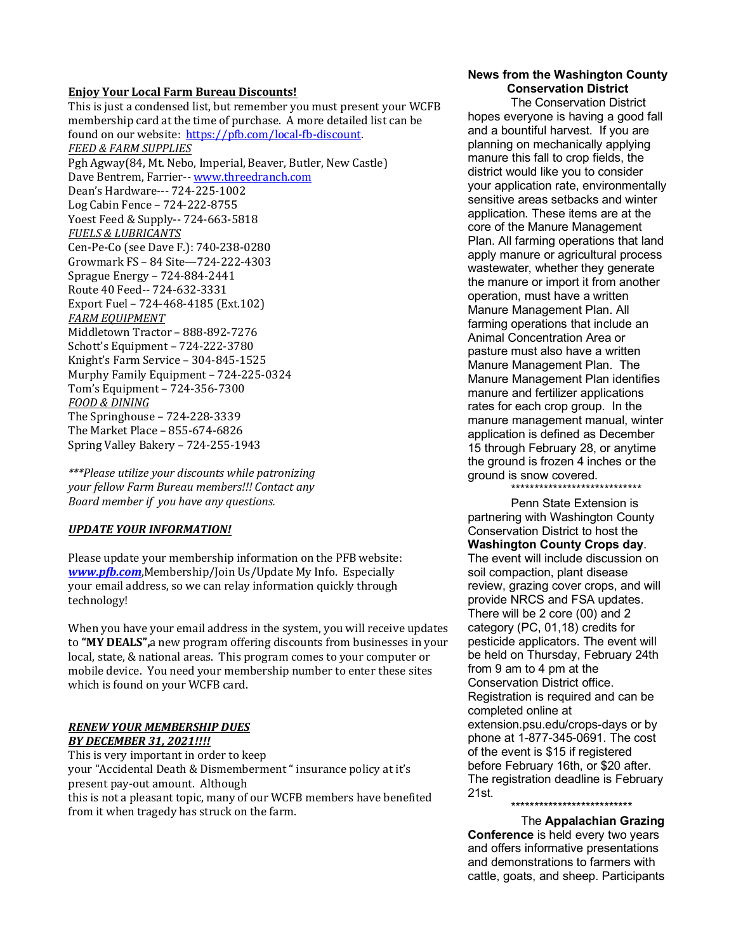#### **Enjoy Your Local Farm Bureau Discounts!**

This is just a condensed list, but remember you must present your WCFB membership card at the time of purchase. A more detailed list can be found on our website: https://pfb.com/local-fb-discount. *FEED & FARM SUPPLIES* Pgh Agway(84, Mt. Nebo, Imperial, Beaver, Butler, New Castle) Dave Bentrem, Farrier-- www.threedranch.com Dean's Hardware--- 724-225-1002 Log Cabin Fence – 724-222-8755 Yoest Feed & Supply-- 724-663-5818 *FUELS & LUBRICANTS* Cen-Pe-Co (see Dave F.): 740-238-0280 Growmark FS – 84 Site—724-222-4303 Sprague Energy – 724-884-2441 Route 40 Feed-- 724-632-3331 Export Fuel – 724-468-4185 (Ext.102) **FARM EQUIPMENT** Middletown Tractor – 888-892-7276 Schott's Equipment – 724-222-3780 Knight's Farm Service – 304-845-1525 Murphy Family Equipment – 724-225-0324 Tom's Equipment – 724-356-7300 *FOOD & DINING* The Springhouse – 724-228-3339 The Market Place – 855-674-6826 Spring Valley Bakery – 724-255-1943

*\*\*\*Please utilize your discounts while patronizing your fellow Farm Bureau members!!! Contact any Board member if you have any questions.* 

### **UPDATE YOUR INFORMATION!**

Please update your membership information on the PFB website: *www.pb.com*,Membership/Join Us/Update My Info. Especially your email address, so we can relay information quickly through technology!

When you have your email address in the system, you will receive updates to **"MY DEALS",**a new program offering discounts from businesses in your local, state, & national areas. This program comes to your computer or mobile device. You need your membership number to enter these sites which is found on your WCFB card.

#### *RENEW YOUR MEMBERSHIP DUES BY DECEMBER 31, 2021!!!!*

This is very important in order to keep your "Accidental Death & Dismemberment " insurance policy at it's present pay-out amount. Although this is not a pleasant topic, many of our WCFB members have benefited from it when tragedy has struck on the farm.

#### **News from the Washington County Conservation District**

The Conservation District hopes everyone is having a good fall and a bountiful harvest. If you are planning on mechanically applying manure this fall to crop fields, the district would like you to consider your application rate, environmentally sensitive areas setbacks and winter application. These items are at the core of the Manure Management Plan. All farming operations that land apply manure or agricultural process wastewater, whether they generate the manure or import it from another operation, must have a written Manure Management Plan. All farming operations that include an Animal Concentration Area or pasture must also have a written Manure Management Plan. The Manure Management Plan identifies manure and fertilizer applications rates for each crop group. In the manure management manual, winter application is defined as December 15 through February 28, or anytime the ground is frozen 4 inches or the ground is snow covered. \*\*\*\*\*\*\*\*\*\*\*\*\*\*\*\*\*\*\*\*\*\*\*\*\*\*\*\*

Penn State Extension is partnering with Washington County Conservation District to host the **Washington County Crops day**. The event will include discussion on soil compaction, plant disease review, grazing cover crops, and will provide NRCS and FSA updates. There will be 2 core (00) and 2 category (PC, 01,18) credits for pesticide applicators. The event will be held on Thursday, February 24th from 9 am to 4 pm at the Conservation District office. Registration is required and can be completed online at extension.psu.edu/crops-days or by phone at 1-877-345-0691. The cost of the event is \$15 if registered before February 16th, or \$20 after. The registration deadline is February 21st.

\*\*\*\*\*\*\*\*\*\*\*\*\*\*\*\*\*\*\*\*\*\*\*\*\*\*

 The **Appalachian Grazing Conference** is held every two years and offers informative presentations and demonstrations to farmers with cattle, goats, and sheep. Participants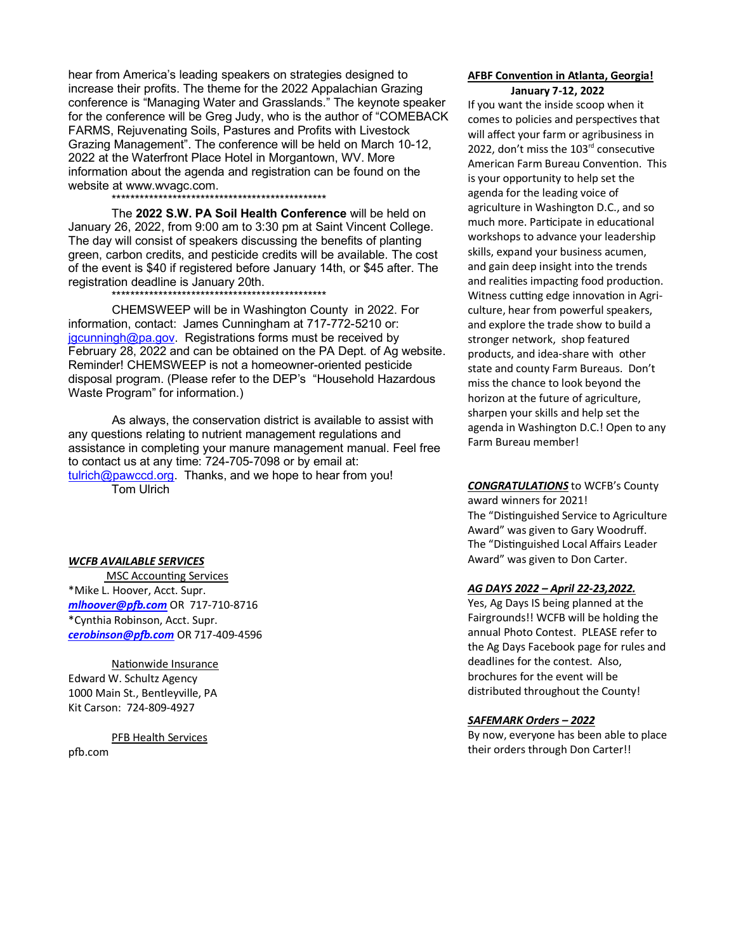hear from America's leading speakers on strategies designed to increase their profits. The theme for the 2022 Appalachian Grazing conference is "Managing Water and Grasslands." The keynote speaker for the conference will be Greg Judy, who is the author of "COMEBACK FARMS, Rejuvenating Soils, Pastures and Profits with Livestock Grazing Management". The conference will be held on March 10-12, 2022 at the Waterfront Place Hotel in Morgantown, WV. More information about the agenda and registration can be found on the website at www.wvagc.com. \*\*\*\*\*\*\*\*\*\*\*\*\*\*\*\*\*\*\*\*\*\*\*\*\*\*\*\*\*\*\*\*\*\*\*\*\*\*\*\*\*\*\*\*\*\*

The **2022 S.W. PA Soil Health Conference** will be held on January 26, 2022, from 9:00 am to 3:30 pm at Saint Vincent College. The day will consist of speakers discussing the benefits of planting green, carbon credits, and pesticide credits will be available. The cost of the event is \$40 if registered before January 14th, or \$45 after. The registration deadline is January 20th.

\*\*\*\*\*\*\*\*\*\*\*\*\*\*\*\*\*\*\*\*\*\*\*\*\*\*\*\*\*\*\*\*\*\*\*\*\*\*\*\*\*\*\*\*\*\*

 CHEMSWEEP will be in Washington County in 2022. For information, contact: James Cunningham at 717-772-5210 or: jgcunningh@pa.gov. Registrations forms must be received by February 28, 2022 and can be obtained on the PA Dept. of Ag website. Reminder! CHEMSWEEP is not a homeowner-oriented pesticide disposal program. (Please refer to the DEP's "Household Hazardous Waste Program" for information.)

 As always, the conservation district is available to assist with any questions relating to nutrient management regulations and assistance in completing your manure management manual. Feel free to contact us at any time: 724-705-7098 or by email at: tulrich@pawccd.org. Thanks, and we hope to hear from you! Tom Ulrich

#### *WCFB AVAILABLE SERVICES*

**MSC Accounting Services** \*Mike L. Hoover, Acct. Supr. *mlhoover@p&.com* OR 717-710-8716 \*Cynthia Robinson, Acct. Supr. *ce r obinson@p&.com* OR 717-409-4596

Nationwide Insurance Edward W. Schultz Agency 1000 Main St., Bentleyville, PA Kit Carson: 724-809-4927

PFB Health Services pfb.com

#### **AFBF Convention in Atlanta, Georgia! January 7-12, 2022**

If you want the inside scoop when it comes to policies and perspectives that will affect your farm or agribusiness in 2022, don't miss the  $103<sup>rd</sup>$  consecutive American Farm Bureau Convention. This is your opportunity to help set the agenda for the leading voice of agriculture in Washington D.C., and so much more. Participate in educational workshops to advance your leadership skills, expand your business acumen, and gain deep insight into the trends and realities impacting food production. Witness cutting edge innovation in Agriculture, hear from powerful speakers, and explore the trade show to build a stronger network, shop featured products, and idea-share with other state and county Farm Bureaus. Don't miss the chance to look beyond the horizon at the future of agriculture, sharpen your skills and help set the agenda in Washington D.C.! Open to any Farm Bureau member!

### *CONGRATULATIONS* to WCFB's County award winners for 2021! The "Distinguished Service to Agriculture Award" was given to Gary Woodruff. The "Distinguished Local Affairs Leader Award" was given to Don Carter.

#### *AG DAYS 2022 – April 22-23,2022.*

Yes, Ag Days IS being planned at the Fairgrounds!! WCFB will be holding the annual Photo Contest. PLEASE refer to the Ag Days Facebook page for rules and deadlines for the contest. Also, brochures for the event will be distributed throughout the County!

#### *SAFEMARK Orders – 2022*

By now, everyone has been able to place their orders through Don Carter!!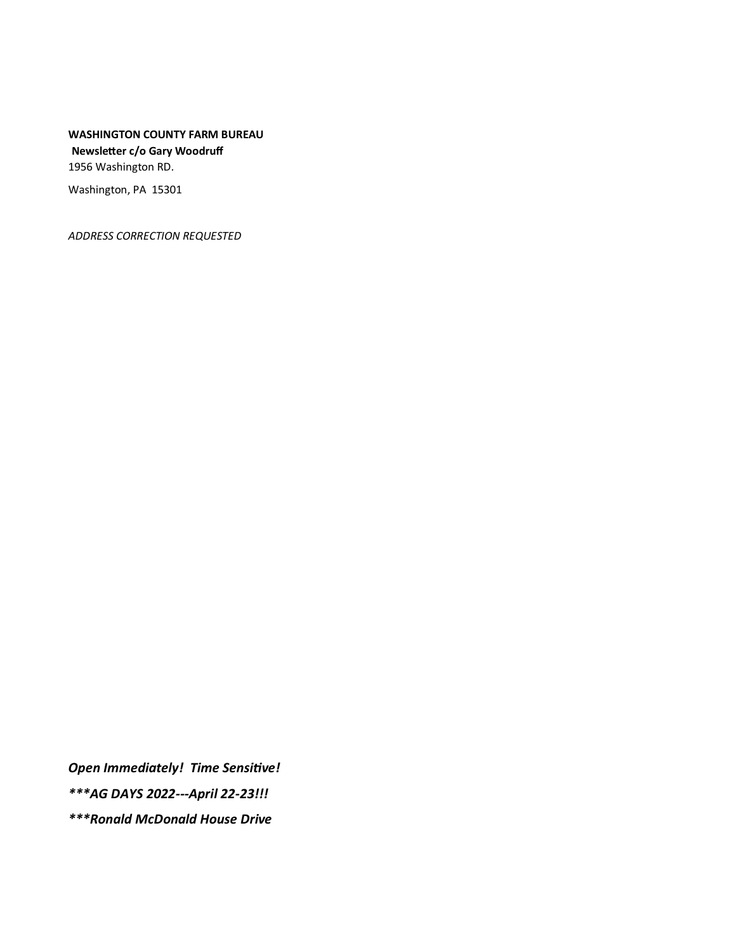**WASHINGTON COUNTY FARM BUREAU** Newsletter c/o Gary Woodruff 1956 Washington RD.

Washington, PA 15301

ADDRESS CORRECTION REQUESTED

Open Immediately! Time Sensitive!

\*\*\* AG DAYS 2022 --- April 22-23!!!

**\*\*\*Ronald McDonald House Drive**